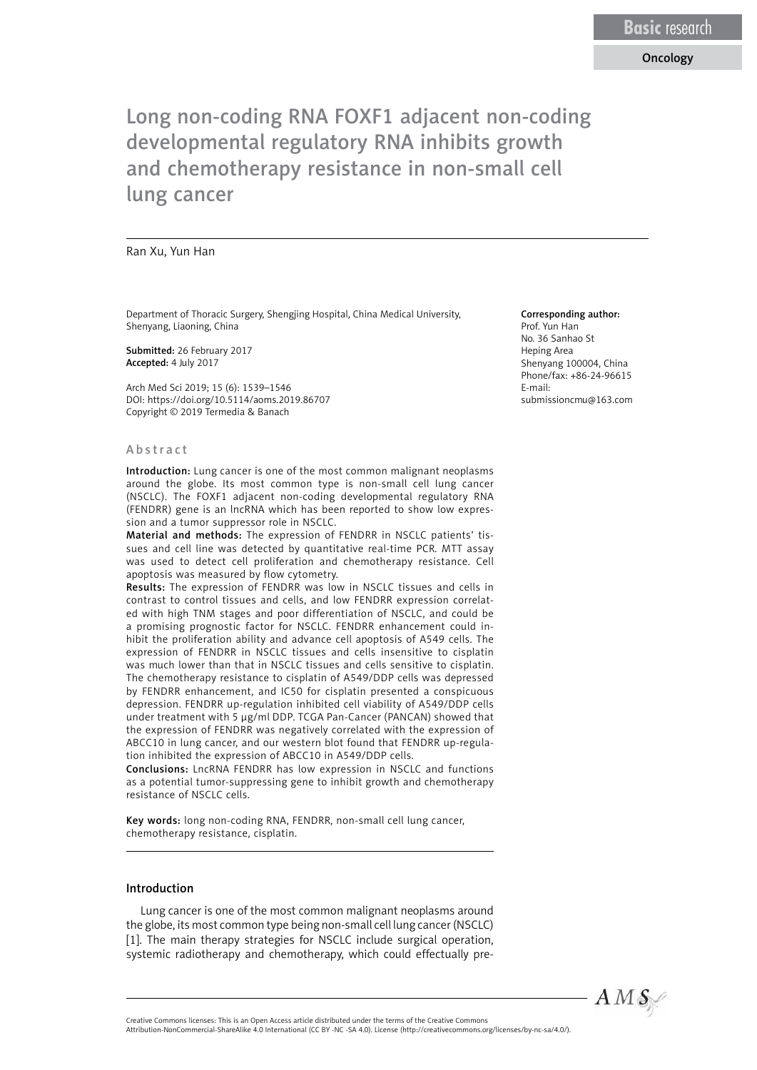## Oncology

# Long non-coding RNA FOXF1 adjacent non-coding developmental regulatory RNA inhibits growth and chemotherapy resistance in non-small cell lung cancer

#### Ran Xu, Yun Han

Department of Thoracic Surgery, Shengjing Hospital, China Medical University, Shenyang, Liaoning, China

Submitted: 26 February 2017 Accepted: 4 July 2017

Arch Med Sci 2019; 15 (6): 1539–1546 DOI: https://doi.org/10.5114/aoms.2019.86707 Copyright © 2019 Termedia & Banach

#### Abstract

Introduction: Lung cancer is one of the most common malignant neoplasms around the globe. Its most common type is non-small cell lung cancer (NSCLC). The FOXF1 adjacent non-coding developmental regulatory RNA (FENDRR) gene is an lncRNA which has been reported to show low expression and a tumor suppressor role in NSCLC.

Material and methods: The expression of FENDRR in NSCLC patients' tissues and cell line was detected by quantitative real-time PCR. MTT assay was used to detect cell proliferation and chemotherapy resistance. Cell apoptosis was measured by flow cytometry.

Results: The expression of FENDRR was low in NSCLC tissues and cells in contrast to control tissues and cells, and low FENDRR expression correlated with high TNM stages and poor differentiation of NSCLC, and could be a promising prognostic factor for NSCLC. FENDRR enhancement could inhibit the proliferation ability and advance cell apoptosis of A549 cells. The expression of FENDRR in NSCLC tissues and cells insensitive to cisplatin was much lower than that in NSCLC tissues and cells sensitive to cisplatin. The chemotherapy resistance to cisplatin of A549/DDP cells was depressed by FENDRR enhancement, and IC50 for cisplatin presented a conspicuous depression. FENDRR up-regulation inhibited cell viability of A549/DDP cells under treatment with 5 μg/ml DDP. TCGA Pan-Cancer (PANCAN) showed that the expression of FENDRR was negatively correlated with the expression of ABCC10 in lung cancer, and our western blot found that FENDRR up-regulation inhibited the expression of ABCC10 in A549/DDP cells.

Conclusions: LncRNA FENDRR has low expression in NSCLC and functions as a potential tumor-suppressing gene to inhibit growth and chemotherapy resistance of NSCLC cells.

Key words: long non-coding RNA, FENDRR, non-small cell lung cancer, chemotherapy resistance, cisplatin.

#### Introduction

Lung cancer is one of the most common malignant neoplasms around the globe, its most common type being non-small cell lung cancer (NSCLC) [1]. The main therapy strategies for NSCLC include surgical operation, systemic radiotherapy and chemotherapy, which could effectually pre-

#### Corresponding author:

Prof. Yun Han No. 36 Sanhao St Heping Area Shenyang 100004, China Phone/fax: +86-24-96615 E-mail: submissioncmu@163.com



Attribution-NonCommercial-ShareAlike 4.0 International (CC BY -NC -SA 4.0). License (http://creativecommons.org/licenses/by-nc-sa/4.0/).

Creative Commons licenses: This is an Open Access article distributed under the terms of the Creative Commons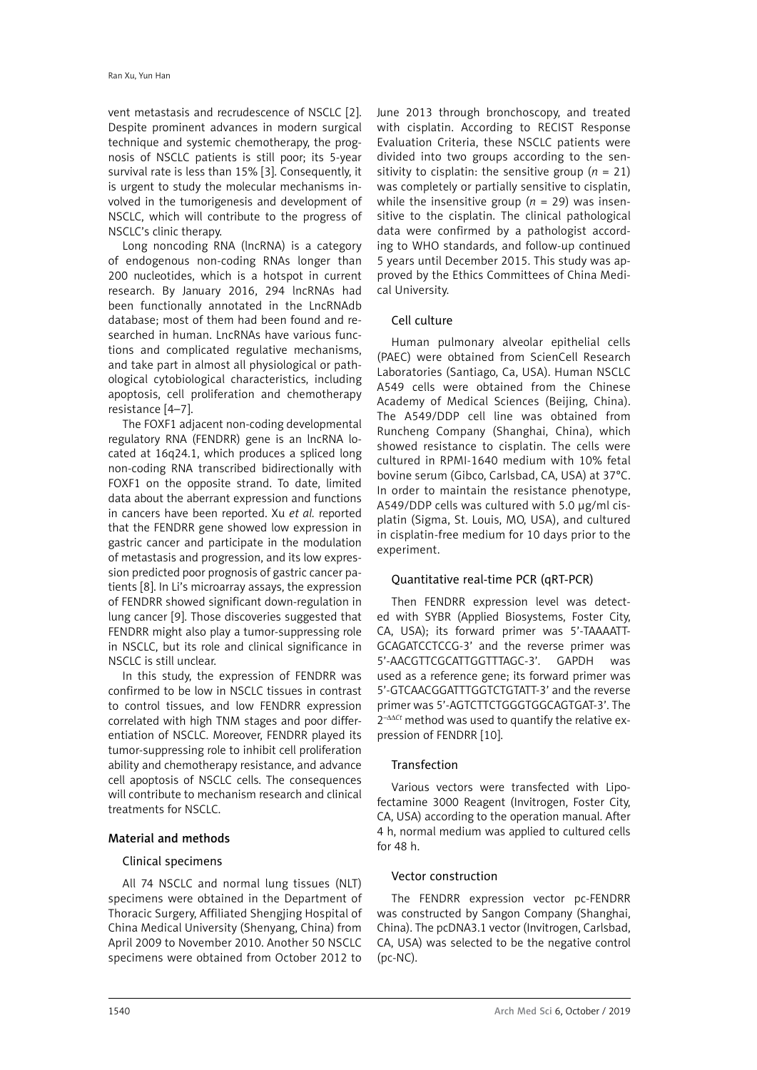vent metastasis and recrudescence of NSCLC [2]. Despite prominent advances in modern surgical technique and systemic chemotherapy, the prognosis of NSCLC patients is still poor; its 5-year survival rate is less than 15% [3]. Consequently, it is urgent to study the molecular mechanisms involved in the tumorigenesis and development of NSCLC, which will contribute to the progress of NSCLC's clinic therapy.

Long noncoding RNA (lncRNA) is a category of endogenous non-coding RNAs longer than 200 nucleotides, which is a hotspot in current research. By January 2016, 294 lncRNAs had been functionally annotated in the LncRNAdb database; most of them had been found and researched in human. LncRNAs have various functions and complicated regulative mechanisms, and take part in almost all physiological or pathological cytobiological characteristics, including apoptosis, cell proliferation and chemotherapy resistance [4–7].

The FOXF1 adjacent non-coding developmental regulatory RNA (FENDRR) gene is an lncRNA located at 16q24.1, which produces a spliced long non-coding RNA transcribed bidirectionally with FOXF1 on the opposite strand. To date, limited data about the aberrant expression and functions in cancers have been reported. Xu *et al.* reported that the FENDRR gene showed low expression in gastric cancer and participate in the modulation of metastasis and progression, and its low expression predicted poor prognosis of gastric cancer patients [8]. In Li's microarray assays, the expression of FENDRR showed significant down-regulation in lung cancer [9]. Those discoveries suggested that FENDRR might also play a tumor-suppressing role in NSCLC, but its role and clinical significance in NSCLC is still unclear.

In this study, the expression of FENDRR was confirmed to be low in NSCLC tissues in contrast to control tissues, and low FENDRR expression correlated with high TNM stages and poor differentiation of NSCLC. Moreover, FENDRR played its tumor-suppressing role to inhibit cell proliferation ability and chemotherapy resistance, and advance cell apoptosis of NSCLC cells. The consequences will contribute to mechanism research and clinical treatments for NSCLC.

## Material and methods

#### Clinical specimens

All 74 NSCLC and normal lung tissues (NLT) specimens were obtained in the Department of Thoracic Surgery, Affiliated Shengjing Hospital of China Medical University (Shenyang, China) from April 2009 to November 2010. Another 50 NSCLC specimens were obtained from October 2012 to June 2013 through bronchoscopy, and treated with cisplatin. According to RECIST Response Evaluation Criteria, these NSCLC patients were divided into two groups according to the sensitivity to cisplatin: the sensitive group  $(n = 21)$ was completely or partially sensitive to cisplatin, while the insensitive group (*n* = 29) was insensitive to the cisplatin. The clinical pathological data were confirmed by a pathologist according to WHO standards, and follow-up continued 5 years until December 2015. This study was approved by the Ethics Committees of China Medical University.

#### Cell culture

Human pulmonary alveolar epithelial cells (PAEC) were obtained from ScienCell Research Laboratories (Santiago, Ca, USA). Human NSCLC A549 cells were obtained from the Chinese Academy of Medical Sciences (Beijing, China). The A549/DDP cell line was obtained from Runcheng Company (Shanghai, China), which showed resistance to cisplatin. The cells were cultured in RPMI-1640 medium with 10% fetal bovine serum (Gibco, Carlsbad, CA, USA) at 37°C. In order to maintain the resistance phenotype, A549/DDP cells was cultured with 5.0 µg/ml cisplatin (Sigma, St. Louis, MO, USA), and cultured in cisplatin-free medium for 10 days prior to the experiment.

#### Quantitative real-time PCR (qRT-PCR)

Then FENDRR expression level was detected with SYBR (Applied Biosystems, Foster City, CA, USA); its forward primer was 5'-TAAAATT-GCAGATCCTCCG-3' and the reverse primer was 5'-AACGTTCGCATTGGTTTAGC-3'. GAPDH was used as a reference gene; its forward primer was 5'-GTCAACGGATTTGGTCTGTATT-3' and the reverse primer was 5'-AGTCTTCTGGGTGGCAGTGAT-3'. The 2–ΔΔ*Ct* method was used to quantify the relative expression of FENDRR [10].

#### Transfection

Various vectors were transfected with Lipofectamine 3000 Reagent (Invitrogen, Foster City, CA, USA) according to the operation manual. After 4 h, normal medium was applied to cultured cells for 48 h.

#### Vector construction

The FENDRR expression vector pc-FENDRR was constructed by Sangon Company (Shanghai, China). The pcDNA3.1 vector (Invitrogen, Carlsbad, CA, USA) was selected to be the negative control (pc-NC).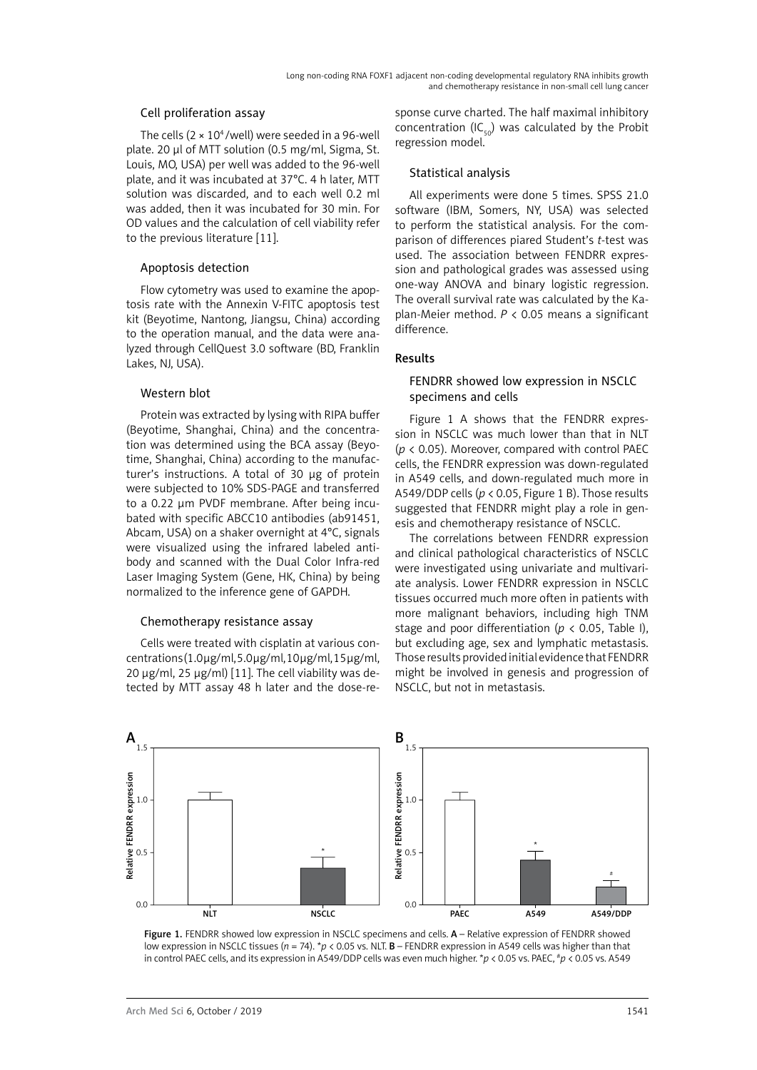#### Cell proliferation assay

The cells  $(2 \times 10^4$ /well) were seeded in a 96-well plate. 20 μl of MTT solution (0.5 mg/ml, Sigma, St. Louis, MO, USA) per well was added to the 96-well plate, and it was incubated at 37°C. 4 h later, MTT solution was discarded, and to each well 0.2 ml was added, then it was incubated for 30 min. For OD values and the calculation of cell viability refer to the previous literature [11].

#### Apoptosis detection

Flow cytometry was used to examine the apoptosis rate with the Annexin V-FITC apoptosis test kit (Beyotime, Nantong, Jiangsu, China) according to the operation manual, and the data were analyzed through CellQuest 3.0 software (BD, Franklin Lakes, NJ, USA).

## Western blot

Protein was extracted by lysing with RIPA buffer (Beyotime, Shanghai, China) and the concentration was determined using the BCA assay (Beyotime, Shanghai, China) according to the manufacturer's instructions. A total of 30 μg of protein were subjected to 10% SDS-PAGE and transferred to a 0.22 μm PVDF membrane. After being incubated with specific ABCC10 antibodies (ab91451, Abcam, USA) on a shaker overnight at 4°C, signals were visualized using the infrared labeled antibody and scanned with the Dual Color Infra-red Laser Imaging System (Gene, HK, China) by being normalized to the inference gene of GAPDH.

## Chemotherapy resistance assay

Cells were treated with cisplatin at various concentrations (1.0 μg/ml, 5.0 μg/ml, 10 μg/ml, 15 μg/ml, 20 μg/ml, 25 μg/ml) [11]. The cell viability was detected by MTT assay 48 h later and the dose-response curve charted. The half maximal inhibitory concentration (IC $_{50}$ ) was calculated by the Probit regression model.

#### Statistical analysis

All experiments were done 5 times. SPSS 21.0 software (IBM, Somers, NY, USA) was selected to perform the statistical analysis. For the comparison of differences piared Student's *t*-test was used. The association between FENDRR expression and pathological grades was assessed using one-way ANOVA and binary logistic regression. The overall survival rate was calculated by the Kaplan-Meier method. *P* < 0.05 means a significant difference.

# Results

## FENDRR showed low expression in NSCLC specimens and cells

Figure 1 A shows that the FENDRR expression in NSCLC was much lower than that in NLT (*p* < 0.05). Moreover, compared with control PAEC cells, the FENDRR expression was down-regulated in A549 cells, and down-regulated much more in A549/DDP cells (*p* < 0.05, Figure 1 B). Those results suggested that FENDRR might play a role in genesis and chemotherapy resistance of NSCLC.

The correlations between FENDRR expression and clinical pathological characteristics of NSCLC were investigated using univariate and multivariate analysis. Lower FENDRR expression in NSCLC tissues occurred much more often in patients with more malignant behaviors, including high TNM stage and poor differentiation ( $p < 0.05$ , Table I), but excluding age, sex and lymphatic metastasis. Those results provided initial evidence that FENDRR might be involved in genesis and progression of NSCLC, but not in metastasis.



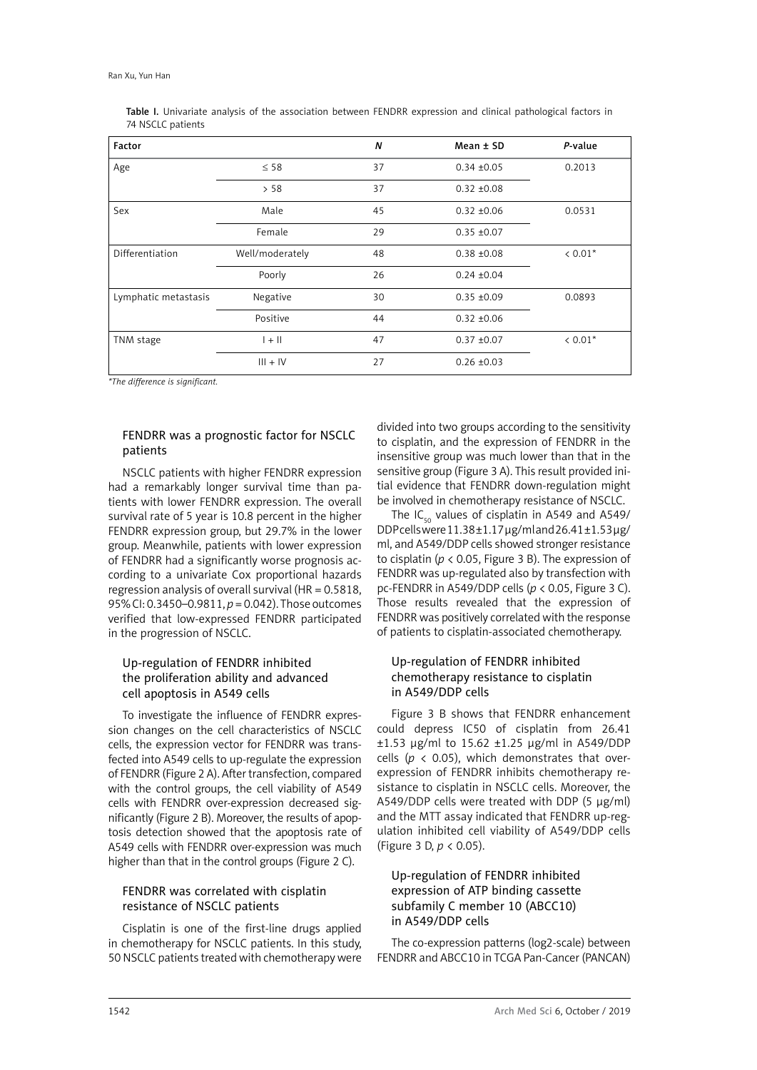| Factor               |                 | $\boldsymbol{N}$ | $Mean \pm SD$   | P-value |
|----------------------|-----------------|------------------|-----------------|---------|
| Age                  | $\leq$ 58       | 37               | $0.34 \pm 0.05$ | 0.2013  |
|                      | > 58            | 37               | $0.32 + 0.08$   |         |
| Sex                  | Male            | 45               | $0.32 + 0.06$   | 0.0531  |
|                      | Female          | 29               | $0.35 \pm 0.07$ |         |
| Differentiation      | Well/moderately | 48               | $0.38 + 0.08$   | $0.01*$ |
|                      | Poorly          | 26               | $0.24 \pm 0.04$ |         |
| Lymphatic metastasis | Negative        | 30               | $0.35 \pm 0.09$ | 0.0893  |
|                      | Positive        | 44               | $0.32 + 0.06$   |         |
| TNM stage            | $  +   $        | 47               | $0.37 + 0.07$   | $0.01*$ |
|                      | $III + IV$      | 27               | $0.26 \pm 0.03$ |         |

Table I. Univariate analysis of the association between FENDRR expression and clinical pathological factors in 74 NSCLC patients

*\*The difference is significant.*

# FENDRR was a prognostic factor for NSCLC patients

NSCLC patients with higher FENDRR expression had a remarkably longer survival time than patients with lower FENDRR expression. The overall survival rate of 5 year is 10.8 percent in the higher FENDRR expression group, but 29.7% in the lower group. Meanwhile, patients with lower expression of FENDRR had a significantly worse prognosis according to a univariate Cox proportional hazards regression analysis of overall survival (HR = 0.5818, 95% CI: 0.3450–0.9811, *p* = 0.042). Those outcomes verified that low-expressed FENDRR participated in the progression of NSCLC.

# Up-regulation of FENDRR inhibited the proliferation ability and advanced cell apoptosis in A549 cells

To investigate the influence of FENDRR expression changes on the cell characteristics of NSCLC cells, the expression vector for FENDRR was transfected into A549 cells to up-regulate the expression of FENDRR (Figure 2 A). After transfection, compared with the control groups, the cell viability of A549 cells with FENDRR over-expression decreased significantly (Figure 2 B). Moreover, the results of apoptosis detection showed that the apoptosis rate of A549 cells with FENDRR over-expression was much higher than that in the control groups (Figure 2 C).

# FENDRR was correlated with cisplatin resistance of NSCLC patients

Cisplatin is one of the first-line drugs applied in chemotherapy for NSCLC patients. In this study, 50 NSCLC patients treated with chemotherapy were divided into two groups according to the sensitivity to cisplatin, and the expression of FENDRR in the insensitive group was much lower than that in the sensitive group (Figure 3 A). This result provided initial evidence that FENDRR down-regulation might be involved in chemotherapy resistance of NSCLC.

The IC<sub>50</sub> values of cisplatin in A549 and A549/ DDP cells were 11.38 ±1.17 μg/ml and 26.41 ±1.53 μg/ ml, and A549/DDP cells showed stronger resistance to cisplatin (*p* < 0.05, Figure 3 B). The expression of FENDRR was up-regulated also by transfection with pc-FENDRR in A549/DDP cells (*p* < 0.05, Figure 3 C). Those results revealed that the expression of FENDRR was positively correlated with the response of patients to cisplatin-associated chemotherapy.

# Up-regulation of FENDRR inhibited chemotherapy resistance to cisplatin in A549/DDP cells

Figure 3 B shows that FENDRR enhancement could depress IC50 of cisplatin from 26.41 ±1.53 μg/ml to 15.62 ±1.25 μg/ml in A549/DDP cells ( $p$  < 0.05), which demonstrates that overexpression of FENDRR inhibits chemotherapy resistance to cisplatin in NSCLC cells. Moreover, the A549/DDP cells were treated with DDP (5 μg/ml) and the MTT assay indicated that FENDRR up-regulation inhibited cell viability of A549/DDP cells (Figure 3 D, *p* < 0.05).

# Up-regulation of FENDRR inhibited expression of ATP binding cassette subfamily C member 10 (ABCC10) in A549/DDP cells

The co-expression patterns (log2-scale) between FENDRR and ABCC10 in TCGA Pan-Cancer (PANCAN)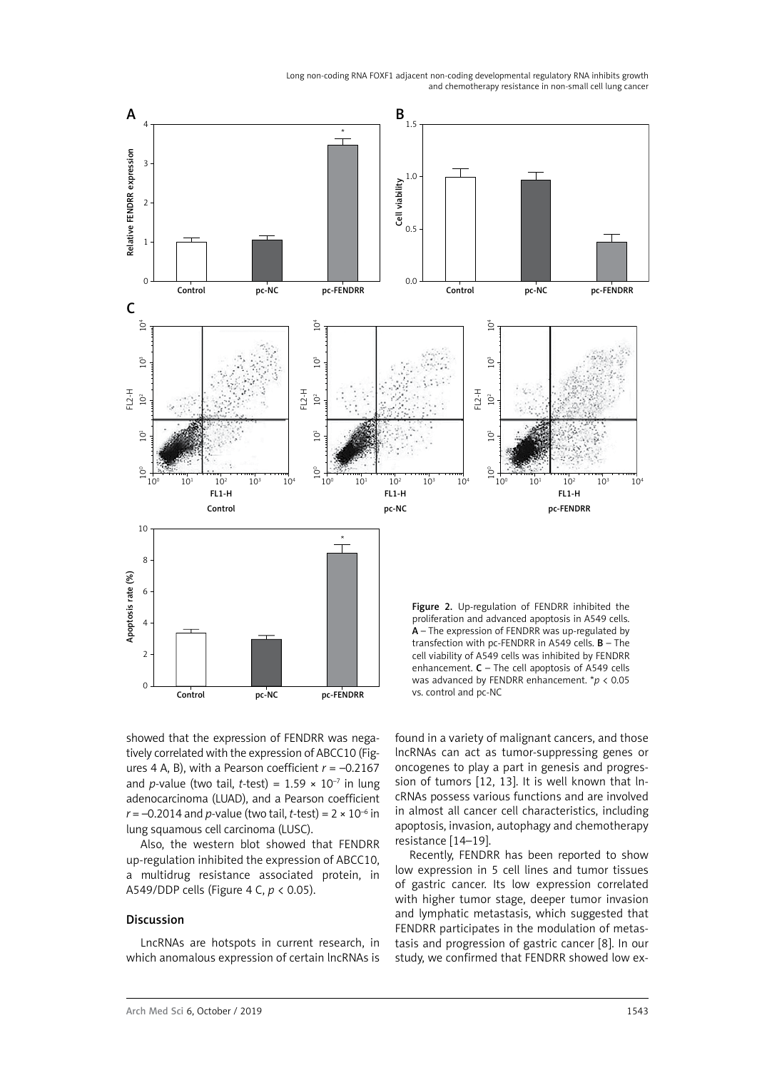Long non-coding RNA FOXF1 adjacent non-coding developmental regulatory RNA inhibits growth and chemotherapy resistance in non-small cell lung cancer



showed that the expression of FENDRR was negatively correlated with the expression of ABCC10 (Figures 4 A, B), with a Pearson coefficient *r* = –0.2167 and *p*-value (two tail, *t*-test) =  $1.59 \times 10^{-7}$  in lung adenocarcinoma (LUAD), and a Pearson coefficient  $r = -0.2014$  and *p*-value (two tail, *t*-test) =  $2 \times 10^{-6}$  in lung squamous cell carcinoma (LUSC).

Also, the western blot showed that FENDRR up-regulation inhibited the expression of ABCC10, a multidrug resistance associated protein, in A549/DDP cells (Figure 4 C, *p* < 0.05).

#### Discussion

LncRNAs are hotspots in current research, in which anomalous expression of certain lncRNAs is

found in a variety of malignant cancers, and those lncRNAs can act as tumor-suppressing genes or oncogenes to play a part in genesis and progression of tumors [12, 13]. It is well known that lncRNAs possess various functions and are involved in almost all cancer cell characteristics, including apoptosis, invasion, autophagy and chemotherapy resistance [14–19].

Recently, FENDRR has been reported to show low expression in 5 cell lines and tumor tissues of gastric cancer. Its low expression correlated with higher tumor stage, deeper tumor invasion and lymphatic metastasis, which suggested that FENDRR participates in the modulation of metastasis and progression of gastric cancer [8]. In our study, we confirmed that FENDRR showed low ex-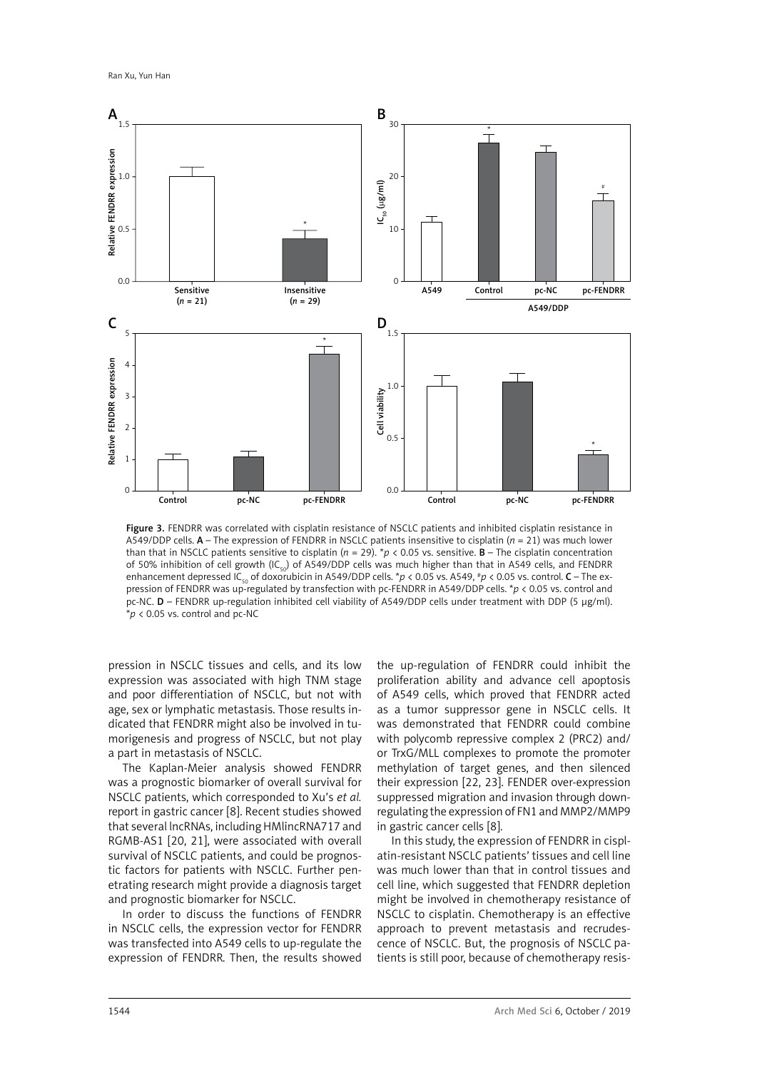

Figure 3. FENDRR was correlated with cisplatin resistance of NSCLC patients and inhibited cisplatin resistance in A549/DDP cells. A – The expression of FENDRR in NSCLC patients insensitive to cisplatin (*n* = 21) was much lower than that in NSCLC patients sensitive to cisplatin ( $n = 29$ ).  $*p < 0.05$  vs. sensitive. **B** – The cisplatin concentration of 50% inhibition of cell growth (IC<sub>50</sub>) of A549/DDP cells was much higher than that in A549 cells, and FENDRR enhancement depressed IC<sub>50</sub> of doxorubicin in A549/DDP cells.  $*p < 0.05$  vs. A549,  $*p < 0.05$  vs. control. **C** – The expression of FENDRR was up-regulated by transfection with pc-FENDRR in A549/DDP cells. \**p* < 0.05 vs. control and pc-NC. D – FENDRR up-regulation inhibited cell viability of A549/DDP cells under treatment with DDP (5 μg/ml). \**p* < 0.05 vs. control and pc-NC

pression in NSCLC tissues and cells, and its low expression was associated with high TNM stage and poor differentiation of NSCLC, but not with age, sex or lymphatic metastasis. Those results indicated that FENDRR might also be involved in tumorigenesis and progress of NSCLC, but not play a part in metastasis of NSCLC.

The Kaplan-Meier analysis showed FENDRR was a prognostic biomarker of overall survival for NSCLC patients, which corresponded to Xu's *et al.* report in gastric cancer [8]. Recent studies showed that several lncRNAs, including HMlincRNA717 and RGMB-AS1 [20, 21], were associated with overall survival of NSCLC patients, and could be prognostic factors for patients with NSCLC. Further penetrating research might provide a diagnosis target and prognostic biomarker for NSCLC.

In order to discuss the functions of FENDRR in NSCLC cells, the expression vector for FENDRR was transfected into A549 cells to up-regulate the expression of FENDRR. Then, the results showed the up-regulation of FENDRR could inhibit the proliferation ability and advance cell apoptosis of A549 cells, which proved that FENDRR acted as a tumor suppressor gene in NSCLC cells. It was demonstrated that FENDRR could combine with polycomb repressive complex 2 (PRC2) and/ or TrxG/MLL complexes to promote the promoter methylation of target genes, and then silenced their expression [22, 23]. FENDER over-expression suppressed migration and invasion through downregulating the expression of FN1 and MMP2/MMP9 in gastric cancer cells [8].

In this study, the expression of FENDRR in cisplatin-resistant NSCLC patients' tissues and cell line was much lower than that in control tissues and cell line, which suggested that FENDRR depletion might be involved in chemotherapy resistance of NSCLC to cisplatin. Chemotherapy is an effective approach to prevent metastasis and recrudescence of NSCLC. But, the prognosis of NSCLC patients is still poor, because of chemotherapy resis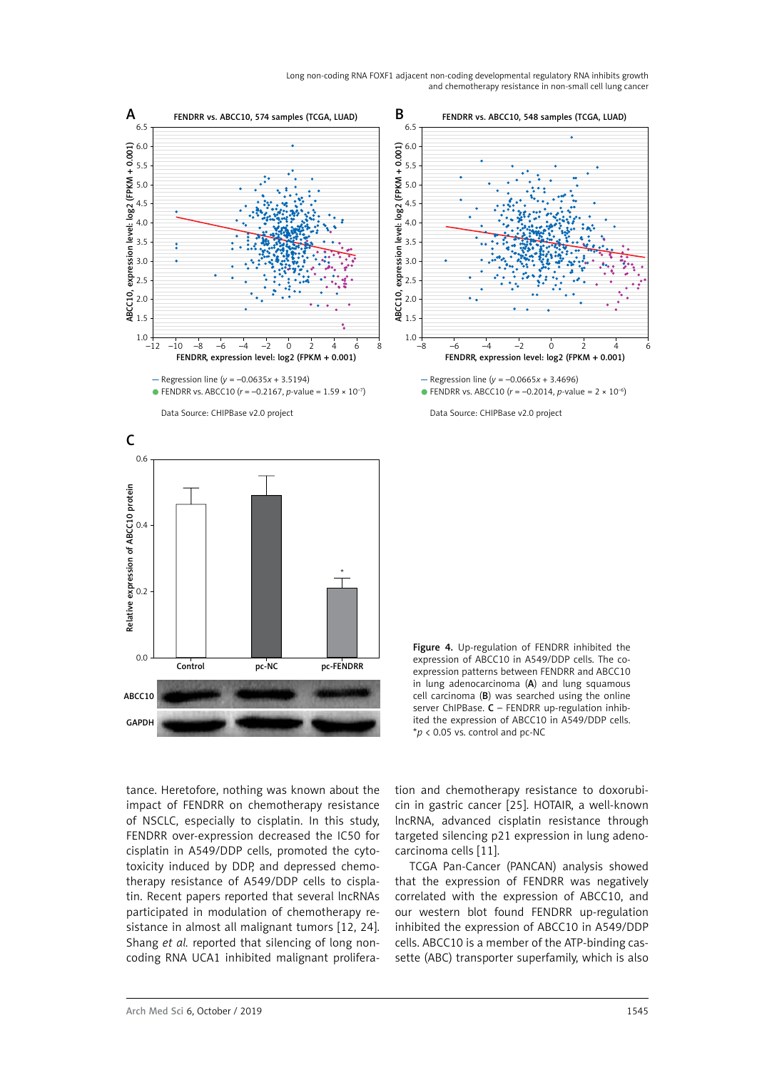Long non-coding RNA FOXF1 adjacent non-coding developmental regulatory RNA inhibits growth and chemotherapy resistance in non-small cell lung cancer



tance. Heretofore, nothing was known about the impact of FENDRR on chemotherapy resistance of NSCLC, especially to cisplatin. In this study, FENDRR over-expression decreased the IC50 for cisplatin in A549/DDP cells, promoted the cytotoxicity induced by DDP, and depressed chemotherapy resistance of A549/DDP cells to cisplatin. Recent papers reported that several lncRNAs participated in modulation of chemotherapy resistance in almost all malignant tumors [12, 24]. Shang *et al.* reported that silencing of long noncoding RNA UCA1 inhibited malignant prolifera-

tion and chemotherapy resistance to doxorubicin in gastric cancer [25]. HOTAIR, a well-known lncRNA, advanced cisplatin resistance through targeted silencing p21 expression in lung adenocarcinoma cells [11].

TCGA Pan-Cancer (PANCAN) analysis showed that the expression of FENDRR was negatively correlated with the expression of ABCC10, and our western blot found FENDRR up-regulation inhibited the expression of ABCC10 in A549/DDP cells. ABCC10 is a member of the ATP-binding cassette (ABC) transporter superfamily, which is also